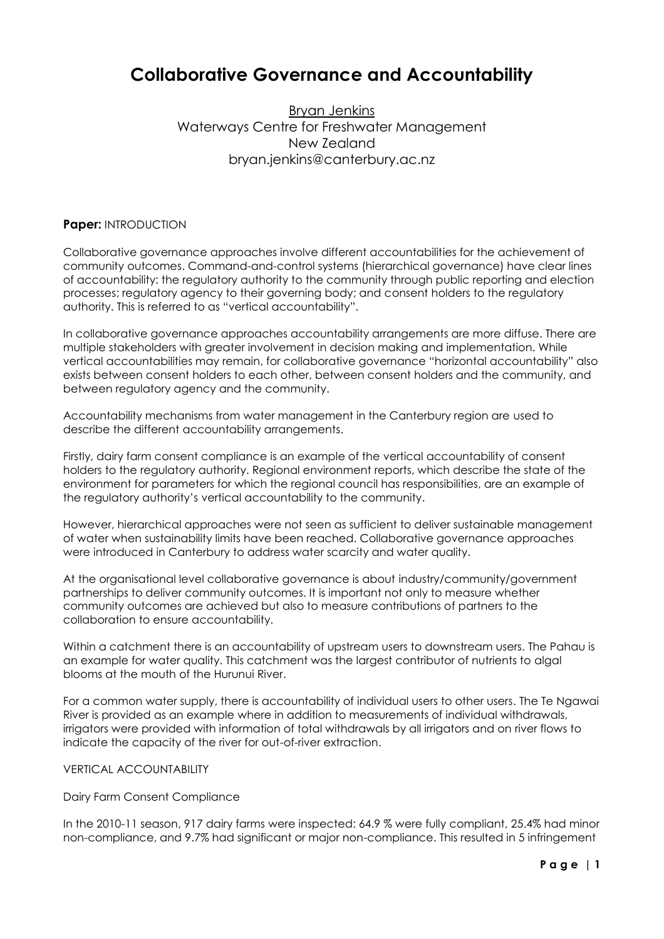# **Collaborative Governance and Accountability**

Bryan Jenkins Waterways Centre for Freshwater Management New Zealand bryan.jenkins@canterbury.ac.nz

### **Paper:** INTRODUCTION

Collaborative governance approaches involve different accountabilities for the achievement of community outcomes. Command-and-control systems (hierarchical governance) have clear lines of accountability: the regulatory authority to the community through public reporting and election processes; regulatory agency to their governing body; and consent holders to the regulatory authority. This is referred to as "vertical accountability".

In collaborative governance approaches accountability arrangements are more diffuse. There are multiple stakeholders with greater involvement in decision making and implementation. While vertical accountabilities may remain, for collaborative governance "horizontal accountability" also exists between consent holders to each other, between consent holders and the community, and between regulatory agency and the community.

Accountability mechanisms from water management in the Canterbury region are used to describe the different accountability arrangements.

Firstly, dairy farm consent compliance is an example of the vertical accountability of consent holders to the regulatory authority. Regional environment reports, which describe the state of the environment for parameters for which the regional council has responsibilities, are an example of the regulatory authority's vertical accountability to the community.

However, hierarchical approaches were not seen as sufficient to deliver sustainable management of water when sustainability limits have been reached. Collaborative governance approaches were introduced in Canterbury to address water scarcity and water quality.

At the organisational level collaborative governance is about industry/community/government partnerships to deliver community outcomes. It is important not only to measure whether community outcomes are achieved but also to measure contributions of partners to the collaboration to ensure accountability.

Within a catchment there is an accountability of upstream users to downstream users. The Pahau is an example for water quality. This catchment was the largest contributor of nutrients to algal blooms at the mouth of the Hurunui River.

For a common water supply, there is accountability of individual users to other users. The Te Ngawai River is provided as an example where in addition to measurements of individual withdrawals, irrigators were provided with information of total withdrawals by all irrigators and on river flows to indicate the capacity of the river for out-of-river extraction.

#### VERTICAL ACCOUNTABILITY

#### Dairy Farm Consent Compliance

In the 2010-11 season, 917 dairy farms were inspected: 64.9 % were fully compliant, 25.4% had minor non-compliance, and 9.7% had significant or major non-compliance. This resulted in 5 infringement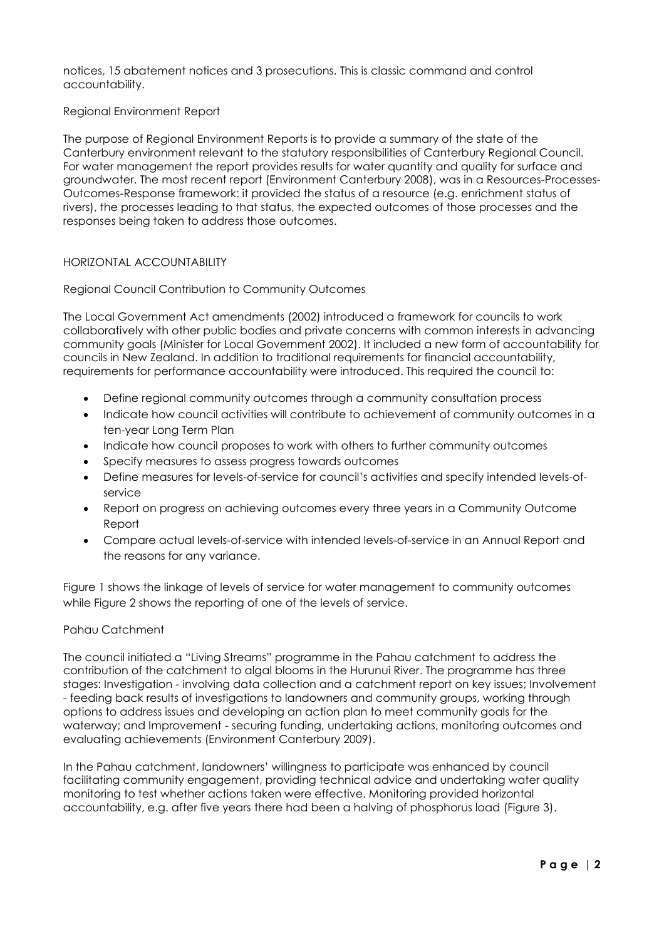notices, 15 abatement notices and 3 prosecutions. This is classic command and control accountability.

## Regional Environment Report

The purpose of Regional Environment Reports is to provide a summary of the state of the Canterbury environment relevant to the statutory responsibilities of Canterbury Regional Council. For water management the report provides results for water quantity and quality for surface and groundwater. The most recent report [\(Environment Canterbury 2008\)](#page-4-0), was in a Resources-Processes-Outcomes-Response framework: it provided the status of a resource (e.g. enrichment status of rivers), the processes leading to that status, the expected outcomes of those processes and the responses being taken to address those outcomes.

## HORIZONTAL ACCOUNTABILITY

## Regional Council Contribution to Community Outcomes

The Local Government Act amendments (2002) introduced a framework for councils to work collaboratively with other public bodies and private concerns with common interests in advancing community goals [\(Minister for Local Government 2002\)](#page-4-1). It included a new form of accountability for councils in New Zealand. In addition to traditional requirements for financial accountability, requirements for performance accountability were introduced. This required the council to:

- Define regional community outcomes through a community consultation process
- Indicate how council activities will contribute to achievement of community outcomes in a ten-year Long Term Plan
- Indicate how council proposes to work with others to further community outcomes
- Specify measures to assess progress towards outcomes
- Define measures for levels-of-service for council's activities and specify intended levels-ofservice
- Report on progress on achieving outcomes every three years in a Community Outcome Report
- Compare actual levels-of-service with intended levels-of-service in an Annual Report and the reasons for any variance.

Figure 1 shows the linkage of levels of service for water management to community outcomes while Figure 2 shows the reporting of one of the levels of service.

#### Pahau Catchment

The council initiated a "Living Streams" programme in the Pahau catchment to address the contribution of the catchment to algal blooms in the Hurunui River. The programme has three stages: Investigation - involving data collection and a catchment report on key issues; Involvement - feeding back results of investigations to landowners and community groups, working through options to address issues and developing an action plan to meet community goals for the waterway; and Improvement - securing funding, undertaking actions, monitoring outcomes and evaluating achievements [\(Environment Canterbury 2009\)](#page-4-2).

In the Pahau catchment, landowners' willingness to participate was enhanced by council facilitating community engagement, providing technical advice and undertaking water quality monitoring to test whether actions taken were effective. Monitoring provided horizontal accountability, e.g. after five years there had been a halving of phosphorus load (Figure 3).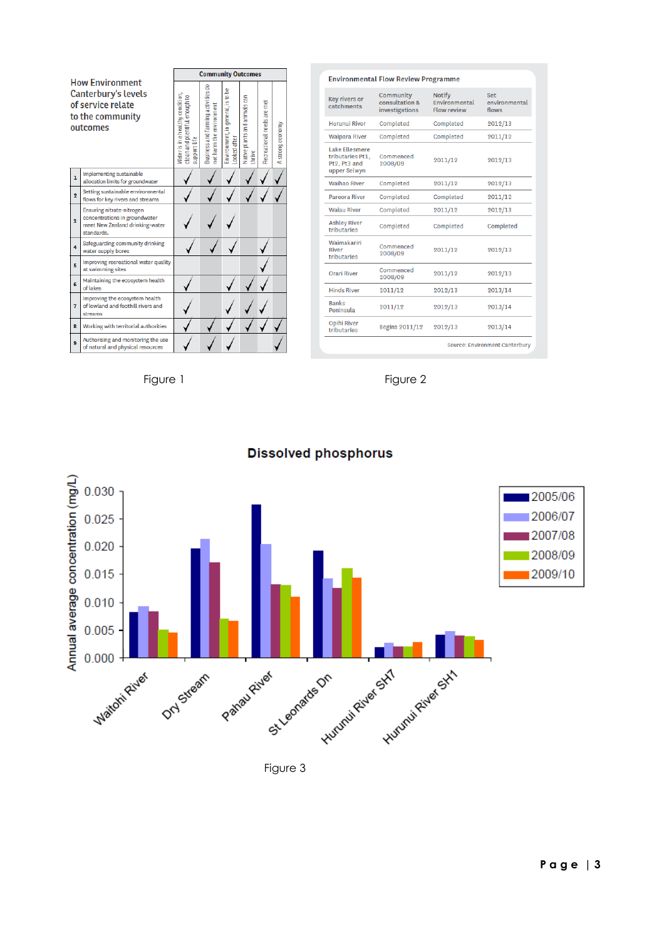| <b>How Environment</b><br><b>Canterbury's levels</b><br>of service relate<br>to the community<br>outcomes |                                                                                                             | <b>Community Outcomes</b>                                                         |                                                                |                                                    |                                         |                            |                  |
|-----------------------------------------------------------------------------------------------------------|-------------------------------------------------------------------------------------------------------------|-----------------------------------------------------------------------------------|----------------------------------------------------------------|----------------------------------------------------|-----------------------------------------|----------------------------|------------------|
|                                                                                                           |                                                                                                             | Water is in a healthy condition,<br>clean and plentiful enough to<br>support life | Business and farming activities do<br>not harm the environment | g<br>Environment, in general, is to<br>ooked after | Native plants and animals can<br>thrive | Recreational needs are met | A strong economy |
| $\mathbf{1}$                                                                                              | Implementing sustainable<br>allocation limits for groundwater                                               |                                                                                   |                                                                |                                                    |                                         |                            |                  |
| $\overline{2}$                                                                                            | Setting sustainable environmental<br>flows for key rivers and streams                                       |                                                                                   |                                                                |                                                    |                                         |                            |                  |
| 3                                                                                                         | Ensuring nitrate-nitrogen<br>concentrations in groundwater<br>meet New Zealand drinking-water<br>standards. |                                                                                   |                                                                |                                                    |                                         |                            |                  |
| 4                                                                                                         | Safeguarding community drinking<br>water supply bores                                                       |                                                                                   |                                                                |                                                    |                                         |                            |                  |
| s.                                                                                                        | Improving recreational water quality<br>at swimming sites                                                   |                                                                                   |                                                                |                                                    |                                         |                            |                  |
| <b>G</b>                                                                                                  | Maintaining the ecosystem health<br>of lakes                                                                |                                                                                   |                                                                |                                                    |                                         |                            |                  |
| 7                                                                                                         | Improving the ecosystem health<br>of lowland and foothill rivers and<br>streams                             |                                                                                   |                                                                |                                                    |                                         |                            |                  |
| g                                                                                                         | Working with territorial authorities                                                                        |                                                                                   |                                                                |                                                    |                                         |                            |                  |
| 9                                                                                                         | Authorising and monitoring the use<br>of natural and physical resources                                     |                                                                                   |                                                                |                                                    |                                         |                            |                  |

| <b>Environmental Flow Review Programme</b>                                |                                               |                                               |                                      |  |  |  |  |  |
|---------------------------------------------------------------------------|-----------------------------------------------|-----------------------------------------------|--------------------------------------|--|--|--|--|--|
| <b>Key rivers or</b><br>catchments                                        | Community<br>consultation &<br>investigations | <b>Notify</b><br>Environmental<br>Flow review | <b>Set</b><br>environmental<br>flows |  |  |  |  |  |
| <b>Hurunui River</b>                                                      | Completed                                     | Completed                                     | 2012/13                              |  |  |  |  |  |
| <b>Waipara River</b>                                                      | Completed                                     | Completed                                     | 2011/12                              |  |  |  |  |  |
| <b>Lake Ellesmere</b><br>tributaries Pt1.<br>Pt2, Pt3 and<br>upper Selwyn | Commenced<br>2008/09                          | 2011/12                                       | 2012/13                              |  |  |  |  |  |
| <b>Waihao River</b>                                                       | Completed                                     | 2011/12                                       | 2012/13                              |  |  |  |  |  |
| <b>Pareora River</b>                                                      | Completed                                     | Completed                                     | 2011/12                              |  |  |  |  |  |
| <b>Wajau River</b>                                                        | Completed                                     | 2011/12                                       | 2012/13                              |  |  |  |  |  |
| <b>Ashley River</b><br>tributaries                                        | Completed                                     | Completed                                     | Completed                            |  |  |  |  |  |
| Waimakariri<br>River<br>tributaries                                       | Commenced<br>2008/09                          | 2011/12                                       | 2012/13                              |  |  |  |  |  |
| <b>Orari River</b>                                                        | Commenced<br>2008/09                          | 2011/12                                       | 2012/13                              |  |  |  |  |  |
| <b>Hinds River</b>                                                        | 2011/12                                       | 2012/13                                       | 2013/14                              |  |  |  |  |  |
| <b>Banks</b><br>Peninsula                                                 | 2011/12                                       | 2012/13                                       | 2013/14                              |  |  |  |  |  |
| <b>Opihi River</b><br>tributaries                                         | <b>Begins 2011/12</b>                         | 2012/13                                       | 2013/14                              |  |  |  |  |  |
| Source: Environment Canterbury                                            |                                               |                                               |                                      |  |  |  |  |  |





**Dissolved phosphorus** 

Figure 3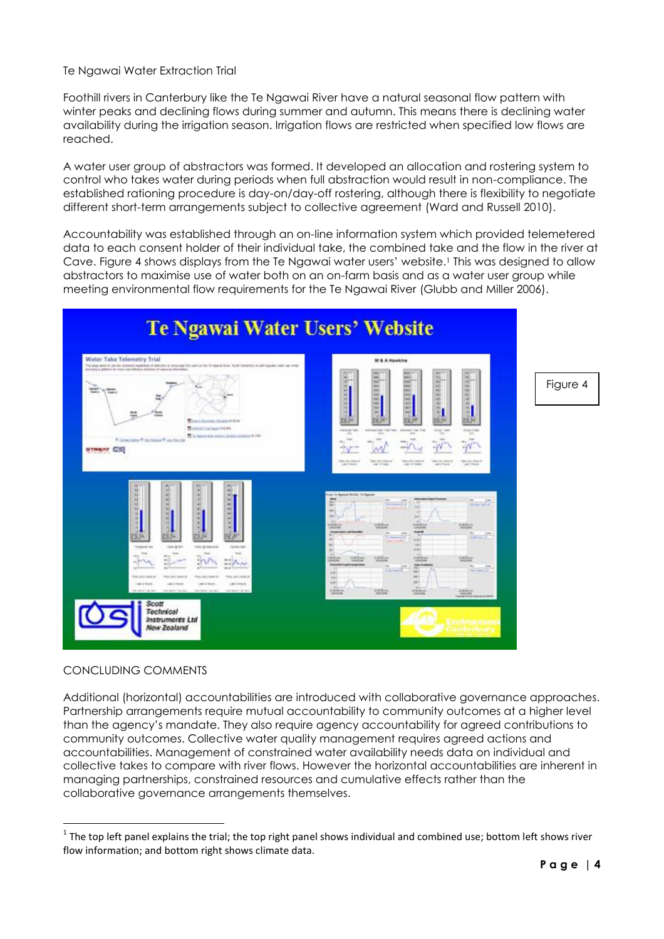Te Ngawai Water Extraction Trial

Foothill rivers in Canterbury like the Te Ngawai River have a natural seasonal flow pattern with winter peaks and declining flows during summer and autumn. This means there is declining water availability during the irrigation season. Irrigation flows are restricted when specified low flows are reached.

A water user group of abstractors was formed. It developed an allocation and rostering system to control who takes water during periods when full abstraction would result in non-compliance. The established rationing procedure is day-on/day-off rostering, although there is flexibility to negotiate different short-term arrangements subject to collective agreement [\(Ward and Russell 2010\)](#page-4-3).

Accountability was established through an on-line information system which provided telemetered data to each consent holder of their individual take, the combined take and the flow in the river at Cave. Figure 4 shows displays from the Te Ngawai water users' website.<sup>1</sup> This was designed to allow abstractors to maximise use of water both on an on-farm basis and as a water user group while meeting environmental flow requirements for the Te Ngawai River [\(Glubb and Miller 2006\)](#page-4-4).



#### CONCLUDING COMMENTS

 $\overline{a}$ 

Additional (horizontal) accountabilities are introduced with collaborative governance approaches. Partnership arrangements require mutual accountability to community outcomes at a higher level than the agency's mandate. They also require agency accountability for agreed contributions to community outcomes. Collective water quality management requires agreed actions and accountabilities. Management of constrained water availability needs data on individual and collective takes to compare with river flows. However the horizontal accountabilities are inherent in managing partnerships, constrained resources and cumulative effects rather than the collaborative governance arrangements themselves.

 $1$  The top left panel explains the trial; the top right panel shows individual and combined use; bottom left shows river flow information; and bottom right shows climate data.